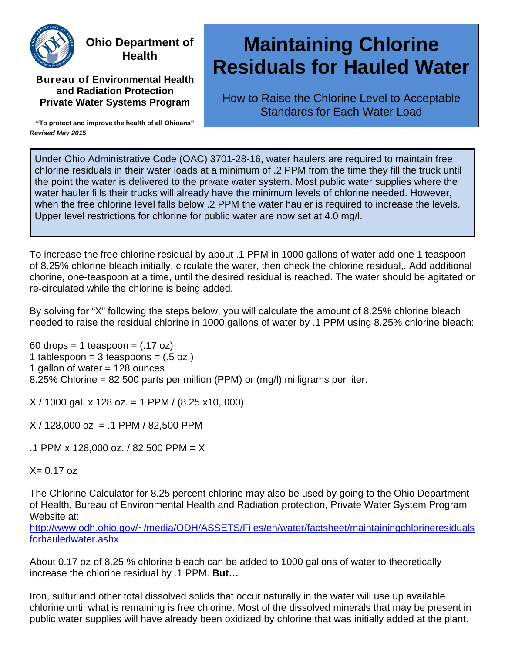

### **Ohio Department of Health**

**Bureau of Environmental Health and Radiation Protection Private Water Systems Program**

# **Maintaining Chlorine Residuals for Hauled Water**

How to Raise the Chlorine Level to Acceptable Standards for Each Water Load

**"To protect and improve the health of all Ohioans"** *Revised May 2015*

Under Ohio Administrative Code (OAC) 3701-28-16, water haulers are required to maintain free chlorine residuals in their water loads at a minimum of .2 PPM from the time they fill the truck until the point the water is delivered to the private water system. Most public water supplies where the water hauler fills their trucks will already have the minimum levels of chlorine needed. However, when the free chlorine level falls below .2 PPM the water hauler is required to increase the levels. Upper level restrictions for chlorine for public water are now set at 4.0 mg/l.

To increase the free chlorine residual by about .1 PPM in 1000 gallons of water add one 1 teaspoon of 8.25% chlorine bleach initially, circulate the water, then check the chlorine residual,. Add additional chorine, one-teaspoon at a time, until the desired residual is reached. The water should be agitated or re-circulated while the chlorine is being added.

By solving for "X" following the steps below, you will calculate the amount of 8.25% chlorine bleach needed to raise the residual chlorine in 1000 gallons of water by .1 PPM using 8.25% chlorine bleach:

60 drops = 1 teaspoon =  $(.17 \text{ oz})$ 1 tablespoon =  $3$  teaspoons =  $(.5 \text{ oz.})$ 1 gallon of water = 128 ounces 8.25% Chlorine = 82,500 parts per million (PPM) or (mg/l) milligrams per liter.

X / 1000 gal. x 128 oz. =.1 PPM / (8.25 x10, 000)

 $X / 128,000$  oz = .1 PPM / 82,500 PPM

.1 PPM x 128,000 oz. / 82,500 PPM = X

 $X = 0.17$  oz

The Chlorine Calculator for 8.25 percent chlorine may also be used by going to the Ohio Department of Health, Bureau of Environmental Health and Radiation protection, Private Water System Program Website at:

[http://www.odh.ohio.gov/~/media/ODH/ASSETS/Files/eh/water/factsheet/maintainingchlorineresiduals](http://www.odh.ohio.gov/%7E/media/ODH/ASSETS/Files/eh/water/factsheet/maintainingchlorineresidualsforhauledwater.ashx) [forhauledwater.ashx](http://www.odh.ohio.gov/%7E/media/ODH/ASSETS/Files/eh/water/factsheet/maintainingchlorineresidualsforhauledwater.ashx)

About 0.17 oz of 8.25 % chlorine bleach can be added to 1000 gallons of water to theoretically increase the chlorine residual by .1 PPM. **But…**

Iron, sulfur and other total dissolved solids that occur naturally in the water will use up available chlorine until what is remaining is free chlorine. Most of the dissolved minerals that may be present in public water supplies will have already been oxidized by chlorine that was initially added at the plant.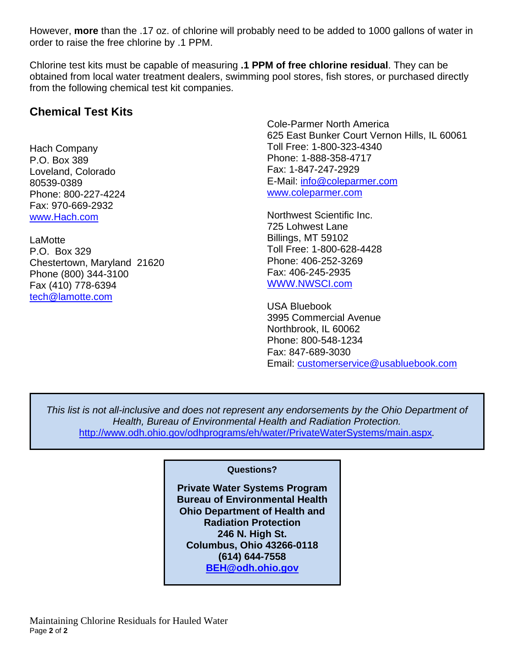However, **more** than the .17 oz. of chlorine will probably need to be added to 1000 gallons of water in order to raise the free chlorine by .1 PPM.

Chlorine test kits must be capable of measuring **.1 PPM of free chlorine residual**. They can be obtained from local water treatment dealers, swimming pool stores, fish stores, or purchased directly from the following chemical test kit companies.

#### **Chemical Test Kits**

Hach Company P.O. Box 389 Loveland, Colorado 80539-0389 Phone: 800-227-4224 Fax: 970-669-2932 [www.Hach.com](http://www.hach.com/)

LaMotte P.O. Box 329 Chestertown, Maryland 21620 Phone (800) 344-3100 Fax (410) 778-6394 [tech@lamotte.com](mailto:tech@lamotte.com)

Cole-Parmer North America 625 East Bunker Court Vernon Hills, IL 60061 Toll Free: 1-800-323-4340 Phone: 1-888-358-4717 Fax: 1-847-247-2929 E-Mail: [info@coleparmer.com](mailto:info@coleparmer.com) [www.coleparmer.com](http://www.coleparmer.com/)

Northwest Scientific Inc. 725 Lohwest Lane Billings, MT 59102 Toll Free: 1-800-628-4428 Phone: 406-252-3269 Fax: 406-245-2935 [WWW.NWSCI.com](http://www.nwsci.com/)

USA Bluebook 3995 Commercial Avenue Northbrook, IL 60062 Phone: 800-548-1234 Fax: 847-689-3030 Email: [customerservice@usabluebook.com](mailto:customerservice@usabluebook.com)

*This list is not all-inclusive and does not represent any endorsements by the Ohio Department of Health, Bureau of Environmental Health and Radiation Protection.*  <http://www.odh.ohio.gov/odhprograms/eh/water/PrivateWaterSystems/main.aspx>*.*

#### **Questions?**

**Private Water Systems Program Bureau of Environmental Health Ohio Department of Health and Radiation Protection 246 N. High St. Columbus, Ohio 43266-0118 (614) 644-7558 [BEH@odh.ohio.gov](mailto:BEH@odh.ohio.gov)**